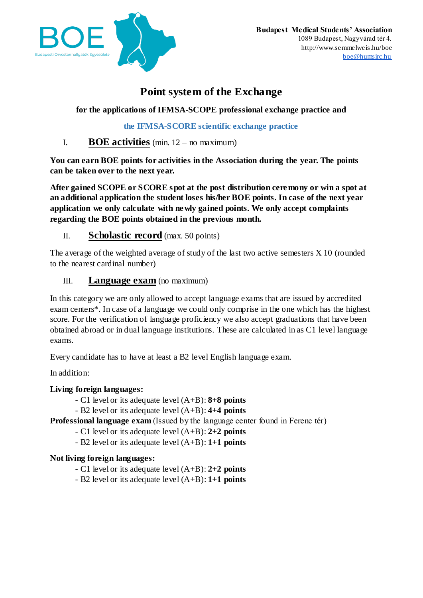

# **Point system of the Exchange**

**for the applications of IFMSA-SCOPE professional exchange practice and**

**the IFMSA-SCORE scientific exchange practice**

## I. **BOE activities** (min. 12 – no maximum)

**You can earn BOE points for activities in the Association during the year. The points can be taken over to the next year.**

**After gained SCOPE or SCORE spot at the post distribution ceremony or win a spot at an additional application the student loses his/her BOE points. In case of the next year application we only calculate with newly gained points. We only accept complaints regarding the BOE points obtained in the previous month.**

### II. **Scholastic record** (max. 50 points)

The average of the weighted average of study of the last two active semesters  $X$  10 (rounded to the nearest cardinal number)

### III. **Language exam** (no maximum)

In this category we are only allowed to accept language exams that are issued by accredited exam centers\*. In case of a language we could only comprise in the one which has the highest score. For the verification of language proficiency we also accept graduations that have been obtained abroad or in dual language institutions. These are calculated in as C1 level language exams.

Every candidate has to have at least a B2 level English language exam.

In addition:

### **Living foreign languages:**

- C1 level or its adequate level (A+B): **8+8 points**
- B2 level or its adequate level (A+B): **4+4 points**

**Professional language exam** (Issued by the language center found in Ferenc tér)

- C1 level or its adequate level (A+B): **2+2 points**
- B2 level or its adequate level (A+B): **1+1 points**

### **Not living foreign languages:**

- C1 level or its adequate level (A+B): **2+2 points**
- B2 level or its adequate level (A+B): **1+1 points**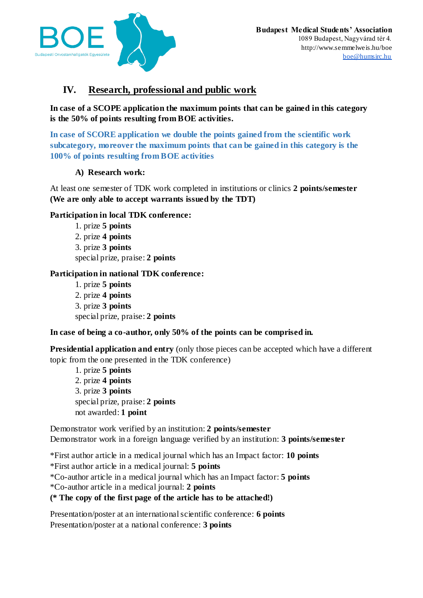

## **IV. Research, professional and public work**

**In case of a SCOPE application the maximum points that can be gained in this category is the 50% of points resulting from BOE activities.** 

**In case of SCORE application we double the points gained from the scientific work subcategory, moreover the maximum points that can be gained in this category is the 100% of points resulting from BOE activities**

#### **A) Research work:**

At least one semester of TDK work completed in institutions or clinics **2 points/semester (We are only able to accept warrants issued by the TDT)**

#### **Participation in local TDK conference:**

1. prize **5 points** 2. prize **4 points** 3. prize **3 points** special prize, praise: **2 points**

#### **Participation in national TDK conference:**

1. prize **5 points** 2. prize **4 points** 3. prize **3 points** special prize, praise: **2 points**

#### **In case of being a co-author, only 50% of the points can be comprised in.**

**Presidential application and entry** (only those pieces can be accepted which have a different topic from the one presented in the TDK conference)

1. prize **5 points** 2. prize **4 points** 3. prize **3 points** special prize, praise: **2 points** not awarded: **1 point**

Demonstrator work verified by an institution: **2 points/semester** Demonstrator work in a foreign language verified by an institution: **3 points/semester**

\*First author article in a medical journal which has an Impact factor: **10 points** \*First author article in a medical journal: **5 points** \*Co-author article in a medical journal which has an Impact factor: **5 points** \*Co-author article in a medical journal: **2 points (\* The copy of the first page of the article has to be attached!)**

Presentation/poster at an international scientific conference: **6 points** Presentation/poster at a national conference: **3 points**